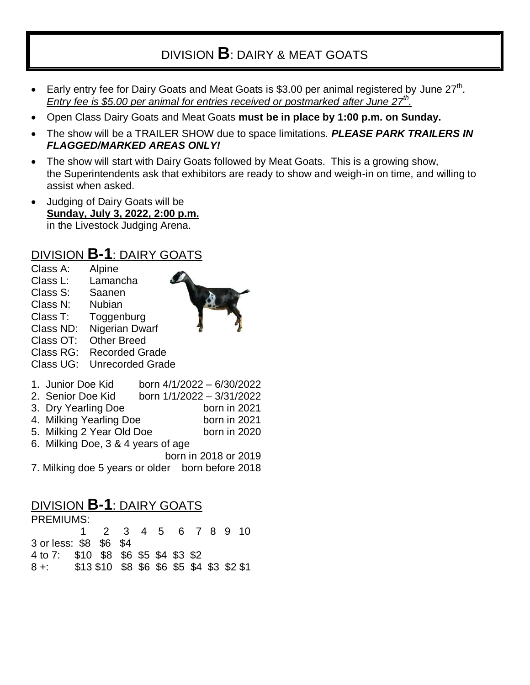# DIVISION **B**: DAIRY & MEAT GOATS

- Early entry fee for Dairy Goats and Meat Goats is \$3.00 per animal registered by June  $27<sup>th</sup>$ . *Entry fee is \$5.00 per animal for entries received or postmarked after June 27th .*
- Open Class Dairy Goats and Meat Goats **must be in place by 1:00 p.m. on Sunday.**
- The show will be a TRAILER SHOW due to space limitations. *PLEASE PARK TRAILERS IN FLAGGED/MARKED AREAS ONLY!*
- The show will start with Dairy Goats followed by Meat Goats. This is a growing show, the Superintendents ask that exhibitors are ready to show and weigh-in on time, and willing to assist when asked.
- Judging of Dairy Goats will be **Sunday, July 3, 2022, 2:00 p.m.** in the Livestock Judging Arena.

#### DIVISION **B-1**: DAIRY GOATS

- Class A: Alpine Class L: Lamancha
- Class S: Saanen
- Class N: Nubian
- Class T: Toggenburg
- Class ND: Nigerian Dwarf
- Class OT: Other Breed
- Class RG: Recorded Grade
- Class UG: Unrecorded Grade
- 1. Junior Doe Kid born 4/1/2022 6/30/2022
- 2. Senior Doe Kid born 1/1/2022 3/31/2022
- 3. Dry Yearling Doe born in 2021
- 4. Milking Yearling Doe born in 2021
- 5. Milking 2 Year Old Doe born in 2020
- 6. Milking Doe, 3 & 4 years of age
	- born in 2018 or 2019
- 7. Milking doe 5 years or older born before 2018

## DIVISION **B-1**: DAIRY GOATS

| <b>PREMIUMS:</b>                               |  |                      |  |  |  |  |  |  |  |  |
|------------------------------------------------|--|----------------------|--|--|--|--|--|--|--|--|
|                                                |  | 1 2 3 4 5 6 7 8 9 10 |  |  |  |  |  |  |  |  |
| 3 or less: \$8 \$6 \$4                         |  |                      |  |  |  |  |  |  |  |  |
| 4 to 7: \$10 \$8 \$6 \$5 \$4 \$3 \$2           |  |                      |  |  |  |  |  |  |  |  |
| 8 +: \$13 \$10 \$8 \$6 \$6 \$5 \$4 \$3 \$2 \$1 |  |                      |  |  |  |  |  |  |  |  |